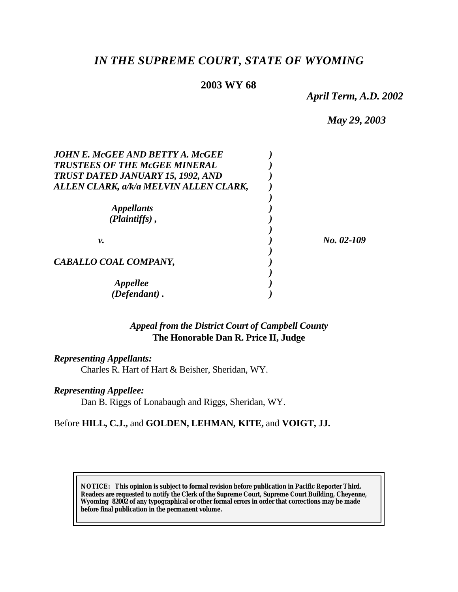# *IN THE SUPREME COURT, STATE OF WYOMING*

## **2003 WY 68**

*April Term, A.D. 2002*

*May 29, 2003*

| JOHN E. McGEE AND BETTY A. McGEE<br><b>TRUSTEES OF THE McGEE MINERAL</b><br>TRUST DATED JANUARY 15, 1992, AND<br>ALLEN CLARK, a/k/a MELVIN ALLEN CLARK, |            |
|---------------------------------------------------------------------------------------------------------------------------------------------------------|------------|
| <i>Appellants</i><br>$(Plaintiffs)$ ,                                                                                                                   |            |
| ν.                                                                                                                                                      | No. 02-109 |
| CABALLO COAL COMPANY,                                                                                                                                   |            |
| <i><b>Appellee</b></i><br>(Defendant).                                                                                                                  |            |

## *Appeal from the District Court of Campbell County* **The Honorable Dan R. Price II, Judge**

*Representing Appellants:*

Charles R. Hart of Hart & Beisher, Sheridan, WY.

*Representing Appellee:*

Dan B. Riggs of Lonabaugh and Riggs, Sheridan, WY.

Before **HILL, C.J.,** and **GOLDEN, LEHMAN, KITE,** and **VOIGT, JJ.**

**NOTICE:** *This opinion is subject to formal revision before publication in Pacific Reporter Third. Readers are requested to notify the Clerk of the Supreme Court, Supreme Court Building, Cheyenne, Wyoming 82002 of any typographical or other formal errors in order that corrections may be made before final publication in the permanent volume.*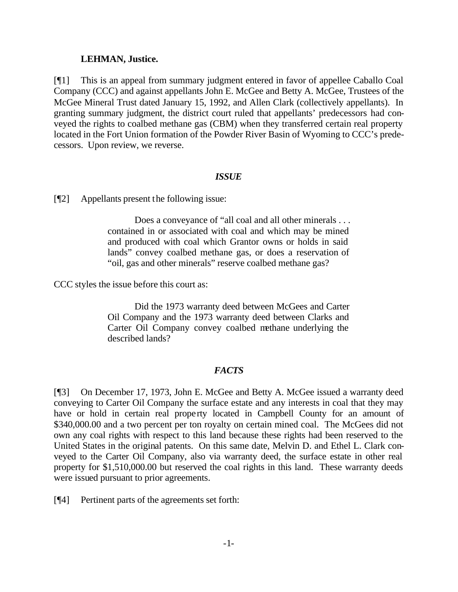#### **LEHMAN, Justice.**

[¶1] This is an appeal from summary judgment entered in favor of appellee Caballo Coal Company (CCC) and against appellants John E. McGee and Betty A. McGee, Trustees of the McGee Mineral Trust dated January 15, 1992, and Allen Clark (collectively appellants). In granting summary judgment, the district court ruled that appellants' predecessors had conveyed the rights to coalbed methane gas (CBM) when they transferred certain real property located in the Fort Union formation of the Powder River Basin of Wyoming to CCC's predecessors. Upon review, we reverse.

#### *ISSUE*

[¶2] Appellants present the following issue:

Does a conveyance of "all coal and all other minerals . . . contained in or associated with coal and which may be mined and produced with coal which Grantor owns or holds in said lands" convey coalbed methane gas, or does a reservation of "oil, gas and other minerals" reserve coalbed methane gas?

CCC styles the issue before this court as:

Did the 1973 warranty deed between McGees and Carter Oil Company and the 1973 warranty deed between Clarks and Carter Oil Company convey coalbed methane underlying the described lands?

### *FACTS*

[¶3] On December 17, 1973, John E. McGee and Betty A. McGee issued a warranty deed conveying to Carter Oil Company the surface estate and any interests in coal that they may have or hold in certain real property located in Campbell County for an amount of \$340,000.00 and a two percent per ton royalty on certain mined coal. The McGees did not own any coal rights with respect to this land because these rights had been reserved to the United States in the original patents. On this same date, Melvin D. and Ethel L. Clark conveyed to the Carter Oil Company, also via warranty deed, the surface estate in other real property for \$1,510,000.00 but reserved the coal rights in this land. These warranty deeds were issued pursuant to prior agreements.

[¶4] Pertinent parts of the agreements set forth: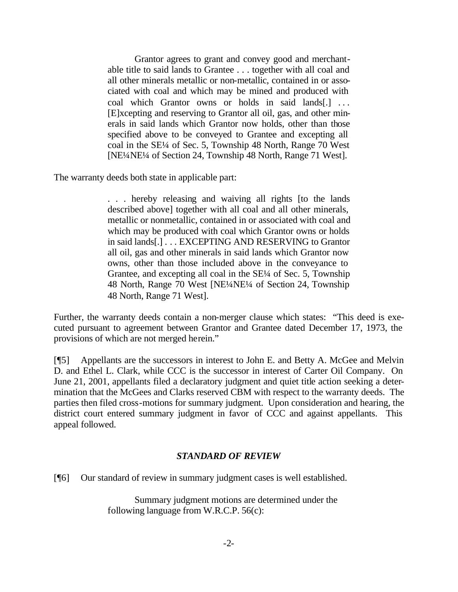Grantor agrees to grant and convey good and merchantable title to said lands to Grantee . . . together with all coal and all other minerals metallic or non-metallic, contained in or associated with coal and which may be mined and produced with coal which Grantor owns or holds in said lands[.] ... [E]xcepting and reserving to Grantor all oil, gas, and other minerals in said lands which Grantor now holds, other than those specified above to be conveyed to Grantee and excepting all coal in the SE¼ of Sec. 5, Township 48 North, Range 70 West [NE¼NE¼ of Section 24, Township 48 North, Range 71 West].

The warranty deeds both state in applicable part:

. . . hereby releasing and waiving all rights [to the lands described above] together with all coal and all other minerals, metallic or nonmetallic, contained in or associated with coal and which may be produced with coal which Grantor owns or holds in said lands[.] . . . EXCEPTING AND RESERVING to Grantor all oil, gas and other minerals in said lands which Grantor now owns, other than those included above in the conveyance to Grantee, and excepting all coal in the SE¼ of Sec. 5, Township 48 North, Range 70 West [NE¼NE¼ of Section 24, Township 48 North, Range 71 West].

Further, the warranty deeds contain a non-merger clause which states: "This deed is executed pursuant to agreement between Grantor and Grantee dated December 17, 1973, the provisions of which are not merged herein."

[¶5] Appellants are the successors in interest to John E. and Betty A. McGee and Melvin D. and Ethel L. Clark, while CCC is the successor in interest of Carter Oil Company. On June 21, 2001, appellants filed a declaratory judgment and quiet title action seeking a determination that the McGees and Clarks reserved CBM with respect to the warranty deeds. The parties then filed cross-motions for summary judgment. Upon consideration and hearing, the district court entered summary judgment in favor of CCC and against appellants. This appeal followed.

### *STANDARD OF REVIEW*

[¶6] Our standard of review in summary judgment cases is well established.

Summary judgment motions are determined under the following language from W.R.C.P. 56(c):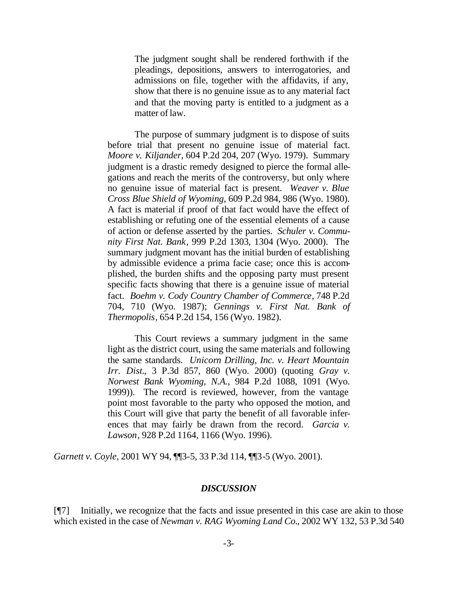The judgment sought shall be rendered forthwith if the pleadings, depositions, answers to interrogatories, and admissions on file, together with the affidavits, if any, show that there is no genuine issue as to any material fact and that the moving party is entitled to a judgment as a matter of law.

The purpose of summary judgment is to dispose of suits before trial that present no genuine issue of material fact. *Moore v. Kiljander*, 604 P.2d 204, 207 (Wyo. 1979). Summary judgment is a drastic remedy designed to pierce the formal allegations and reach the merits of the controversy, but only where no genuine issue of material fact is present. *Weaver v. Blue Cross Blue Shield of Wyoming*, 609 P.2d 984, 986 (Wyo. 1980). A fact is material if proof of that fact would have the effect of establishing or refuting one of the essential elements of a cause of action or defense asserted by the parties. *Schuler v. Community First Nat. Bank*, 999 P.2d 1303, 1304 (Wyo. 2000). The summary judgment movant has the initial burden of establishing by admissible evidence a prima facie case; once this is accomplished, the burden shifts and the opposing party must present specific facts showing that there is a genuine issue of material fact. *Boehm v. Cody Country Chamber of Commerce*, 748 P.2d 704, 710 (Wyo. 1987); *Gennings v. First Nat. Bank of Thermopolis*, 654 P.2d 154, 156 (Wyo. 1982).

This Court reviews a summary judgment in the same light as the district court, using the same materials and following the same standards. *Unicorn Drilling, Inc. v. Heart Mountain Irr. Dist.*, 3 P.3d 857, 860 (Wyo. 2000) (quoting *Gray v. Norwest Bank Wyoming, N.A.*, 984 P.2d 1088, 1091 (Wyo. 1999)). The record is reviewed, however, from the vantage point most favorable to the party who opposed the motion, and this Court will give that party the benefit of all favorable inferences that may fairly be drawn from the record. *Garcia v. Lawson*, 928 P.2d 1164, 1166 (Wyo. 1996).

*Garnett v. Coyle*, 2001 WY 94, ¶¶3-5, 33 P.3d 114, ¶¶3-5 (Wyo. 2001).

#### *DISCUSSION*

[¶7] Initially, we recognize that the facts and issue presented in this case are akin to those which existed in the case of *Newman v. RAG Wyoming Land Co.*, 2002 WY 132, 53 P.3d 540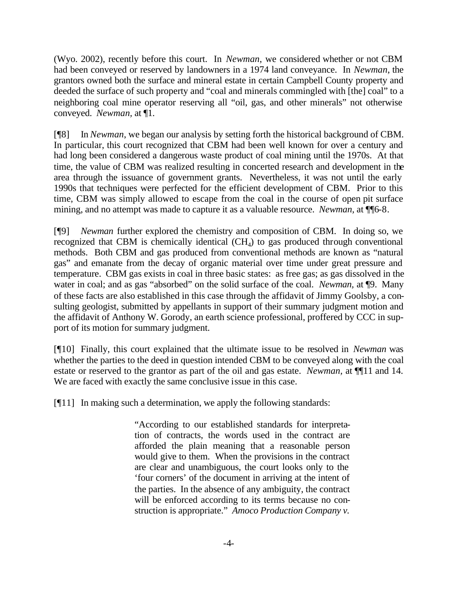(Wyo. 2002), recently before this court. In *Newman*, we considered whether or not CBM had been conveyed or reserved by landowners in a 1974 land conveyance. In *Newman*, the grantors owned both the surface and mineral estate in certain Campbell County property and deeded the surface of such property and "coal and minerals commingled with [the] coal" to a neighboring coal mine operator reserving all "oil, gas, and other minerals" not otherwise conveyed. *Newman,* at ¶1.

[¶8] In *Newman*, we began our analysis by setting forth the historical background of CBM. In particular, this court recognized that CBM had been well known for over a century and had long been considered a dangerous waste product of coal mining until the 1970s. At that time, the value of CBM was realized resulting in concerted research and development in the area through the issuance of government grants. Nevertheless, it was not until the early 1990s that techniques were perfected for the efficient development of CBM. Prior to this time, CBM was simply allowed to escape from the coal in the course of open pit surface mining, and no attempt was made to capture it as a valuable resource. *Newman*, at  $\P$ 6-8.

[¶9] *Newman* further explored the chemistry and composition of CBM. In doing so, we recognized that CBM is chemically identical  $(CH<sub>4</sub>)$  to gas produced through conventional methods. Both CBM and gas produced from conventional methods are known as "natural gas" and emanate from the decay of organic material over time under great pressure and temperature. CBM gas exists in coal in three basic states: as free gas; as gas dissolved in the water in coal; and as gas "absorbed" on the solid surface of the coal. *Newman,* at ¶9. Many of these facts are also established in this case through the affidavit of Jimmy Goolsby, a consulting geologist, submitted by appellants in support of their summary judgment motion and the affidavit of Anthony W. Gorody, an earth science professional, proffered by CCC in support of its motion for summary judgment.

[¶10] Finally, this court explained that the ultimate issue to be resolved in *Newman* was whether the parties to the deed in question intended CBM to be conveyed along with the coal estate or reserved to the grantor as part of the oil and gas estate. *Newman,* at ¶¶11 and 14. We are faced with exactly the same conclusive issue in this case.

[¶11] In making such a determination, we apply the following standards:

"According to our established standards for interpretation of contracts, the words used in the contract are afforded the plain meaning that a reasonable person would give to them. When the provisions in the contract are clear and unambiguous, the court looks only to the 'four corners' of the document in arriving at the intent of the parties. In the absence of any ambiguity, the contract will be enforced according to its terms because no construction is appropriate." *Amoco Production Company v.*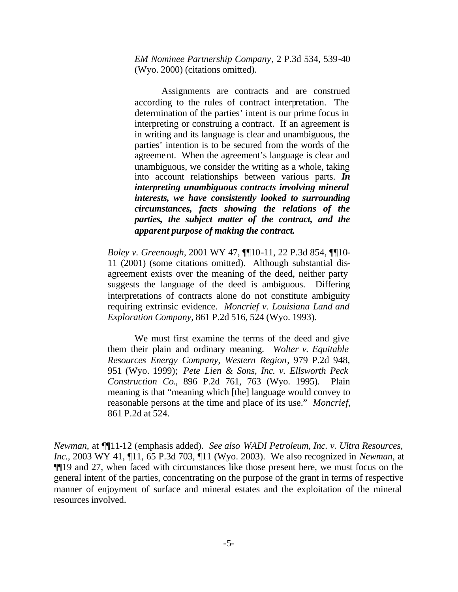*EM Nominee Partnership Company*, 2 P.3d 534, 539-40 (Wyo. 2000) (citations omitted).

Assignments are contracts and are construed according to the rules of contract interpretation. The determination of the parties' intent is our prime focus in interpreting or construing a contract. If an agreement is in writing and its language is clear and unambiguous, the parties' intention is to be secured from the words of the agreement. When the agreement's language is clear and unambiguous, we consider the writing as a whole, taking into account relationships between various parts. *In interpreting unambiguous contracts involving mineral interests, we have consistently looked to surrounding circumstances, facts showing the relations of the parties, the subject matter of the contract, and the apparent purpose of making the contract.*

*Boley v. Greenough*, 2001 WY 47, ¶¶10-11, 22 P.3d 854, ¶¶10- 11 (2001) (some citations omitted). Although substantial disagreement exists over the meaning of the deed, neither party suggests the language of the deed is ambiguous. Differing interpretations of contracts alone do not constitute ambiguity requiring extrinsic evidence. *Moncrief v. Louisiana Land and Exploration Company*, 861 P.2d 516, 524 (Wyo. 1993).

We must first examine the terms of the deed and give them their plain and ordinary meaning. *Wolter v. Equitable Resources Energy Company, Western Region*, 979 P.2d 948, 951 (Wyo. 1999); *Pete Lien & Sons, Inc. v. Ellsworth Peck Construction Co.*, 896 P.2d 761, 763 (Wyo. 1995). Plain meaning is that "meaning which [the] language would convey to reasonable persons at the time and place of its use." *Moncrief*, 861 P.2d at 524.

*Newman,* at ¶¶11-12 (emphasis added). *See also WADI Petroleum, Inc. v. Ultra Resources, Inc.*, 2003 WY 41, ¶11, 65 P.3d 703, ¶11 (Wyo. 2003). We also recognized in *Newman,* at ¶¶19 and 27, when faced with circumstances like those present here, we must focus on the general intent of the parties, concentrating on the purpose of the grant in terms of respective manner of enjoyment of surface and mineral estates and the exploitation of the mineral resources involved.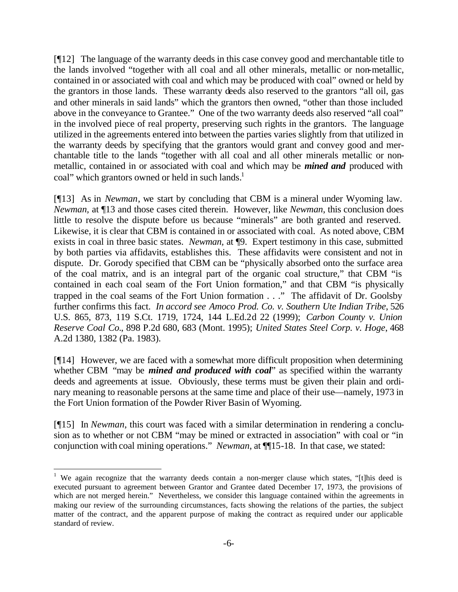[¶12] The language of the warranty deeds in this case convey good and merchantable title to the lands involved "together with all coal and all other minerals, metallic or non-metallic, contained in or associated with coal and which may be produced with coal" owned or held by the grantors in those lands. These warranty deeds also reserved to the grantors "all oil, gas and other minerals in said lands" which the grantors then owned, "other than those included above in the conveyance to Grantee." One of the two warranty deeds also reserved "all coal" in the involved piece of real property, preserving such rights in the grantors. The language utilized in the agreements entered into between the parties varies slightly from that utilized in the warranty deeds by specifying that the grantors would grant and convey good and merchantable title to the lands "together with all coal and all other minerals metallic or nonmetallic, contained in or associated with coal and which may be *mined and* produced with coal" which grantors owned or held in such lands.<sup>1</sup>

[¶13] As in *Newman*, we start by concluding that CBM is a mineral under Wyoming law. *Newman,* at ¶13 and those cases cited therein. However, like *Newman*, this conclusion does little to resolve the dispute before us because "minerals" are both granted and reserved. Likewise, it is clear that CBM is contained in or associated with coal. As noted above, CBM exists in coal in three basic states. *Newman,* at ¶9. Expert testimony in this case, submitted by both parties via affidavits, establishes this. These affidavits were consistent and not in dispute. Dr. Gorody specified that CBM can be "physically absorbed onto the surface area of the coal matrix, and is an integral part of the organic coal structure," that CBM "is contained in each coal seam of the Fort Union formation," and that CBM "is physically trapped in the coal seams of the Fort Union formation . . ." The affidavit of Dr. Goolsby further confirms this fact. *In accord see Amoco Prod. Co. v. Southern Ute Indian Tribe*, 526 U.S. 865, 873, 119 S.Ct. 1719, 1724, 144 L.Ed.2d 22 (1999); *Carbon County v. Union Reserve Coal Co.*, 898 P.2d 680, 683 (Mont. 1995); *United States Steel Corp. v. Hoge*, 468 A.2d 1380, 1382 (Pa. 1983).

[¶14] However, we are faced with a somewhat more difficult proposition when determining whether CBM "may be *mined and produced with coal*" as specified within the warranty deeds and agreements at issue. Obviously, these terms must be given their plain and ordinary meaning to reasonable persons at the same time and place of their use—namely, 1973 in the Fort Union formation of the Powder River Basin of Wyoming.

[¶15] In *Newman*, this court was faced with a similar determination in rendering a conclusion as to whether or not CBM "may be mined or extracted in association" with coal or "in conjunction with coal mining operations." *Newman*, at ¶¶15-18. In that case, we stated:

l

<sup>&</sup>lt;sup>1</sup> We again recognize that the warranty deeds contain a non-merger clause which states, "[t]his deed is executed pursuant to agreement between Grantor and Grantee dated December 17, 1973, the provisions of which are not merged herein." Nevertheless, we consider this language contained within the agreements in making our review of the surrounding circumstances, facts showing the relations of the parties, the subject matter of the contract, and the apparent purpose of making the contract as required under our applicable standard of review.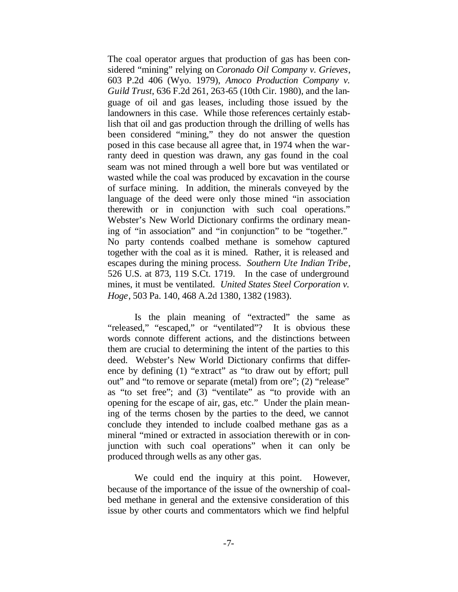The coal operator argues that production of gas has been considered "mining" relying on *Coronado Oil Company v. Grieves*, 603 P.2d 406 (Wyo. 1979), *Amoco Production Company v. Guild Trust*, 636 F.2d 261, 263-65 (10th Cir. 1980), and the language of oil and gas leases, including those issued by the landowners in this case. While those references certainly establish that oil and gas production through the drilling of wells has been considered "mining," they do not answer the question posed in this case because all agree that, in 1974 when the warranty deed in question was drawn, any gas found in the coal seam was not mined through a well bore but was ventilated or wasted while the coal was produced by excavation in the course of surface mining. In addition, the minerals conveyed by the language of the deed were only those mined "in association therewith or in conjunction with such coal operations." Webster's New World Dictionary confirms the ordinary meaning of "in association" and "in conjunction" to be "together." No party contends coalbed methane is somehow captured together with the coal as it is mined. Rather, it is released and escapes during the mining process. *Southern Ute Indian Tribe*, 526 U.S. at 873, 119 S.Ct. 1719. In the case of underground mines, it must be ventilated. *United States Steel Corporation v. Hoge*, 503 Pa. 140, 468 A.2d 1380, 1382 (1983).

Is the plain meaning of "extracted" the same as "released," "escaped," or "ventilated"? It is obvious these words connote different actions, and the distinctions between them are crucial to determining the intent of the parties to this deed. Webster's New World Dictionary confirms that difference by defining (1) "extract" as "to draw out by effort; pull out" and "to remove or separate (metal) from ore"; (2) "release" as "to set free"; and (3) "ventilate" as "to provide with an opening for the escape of air, gas, etc." Under the plain meaning of the terms chosen by the parties to the deed, we cannot conclude they intended to include coalbed methane gas as a mineral "mined or extracted in association therewith or in conjunction with such coal operations" when it can only be produced through wells as any other gas.

We could end the inquiry at this point. However, because of the importance of the issue of the ownership of coalbed methane in general and the extensive consideration of this issue by other courts and commentators which we find helpful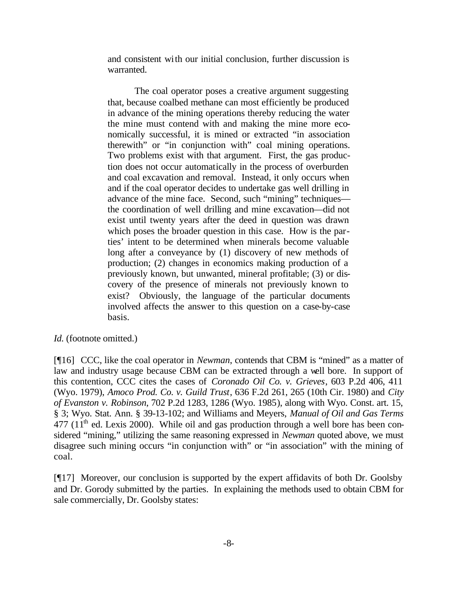and consistent with our initial conclusion, further discussion is warranted.

The coal operator poses a creative argument suggesting that, because coalbed methane can most efficiently be produced in advance of the mining operations thereby reducing the water the mine must contend with and making the mine more economically successful, it is mined or extracted "in association therewith" or "in conjunction with" coal mining operations. Two problems exist with that argument. First, the gas production does not occur automatically in the process of overburden and coal excavation and removal. Instead, it only occurs when and if the coal operator decides to undertake gas well drilling in advance of the mine face. Second, such "mining" techniques the coordination of well drilling and mine excavation—did not exist until twenty years after the deed in question was drawn which poses the broader question in this case. How is the parties' intent to be determined when minerals become valuable long after a conveyance by (1) discovery of new methods of production; (2) changes in economics making production of a previously known, but unwanted, mineral profitable; (3) or discovery of the presence of minerals not previously known to exist? Obviously, the language of the particular documents involved affects the answer to this question on a case-by-case basis.

### *Id.* (footnote omitted.)

[¶16] CCC, like the coal operator in *Newman*, contends that CBM is "mined" as a matter of law and industry usage because CBM can be extracted through a well bore. In support of this contention, CCC cites the cases of *Coronado Oil Co. v. Grieves*, 603 P.2d 406, 411 (Wyo. 1979), *Amoco Prod. Co. v. Guild Trust*, 636 F.2d 261, 265 (10th Cir. 1980) and *City of Evanston v. Robinson*, 702 P.2d 1283, 1286 (Wyo. 1985), along with Wyo. Const. art. 15, § 3; Wyo. Stat. Ann. § 39-13-102; and Williams and Meyers, *Manual of Oil and Gas Terms*   $477$  ( $11<sup>th</sup>$  ed. Lexis 2000). While oil and gas production through a well bore has been considered "mining," utilizing the same reasoning expressed in *Newman* quoted above, we must disagree such mining occurs "in conjunction with" or "in association" with the mining of coal.

[¶17] Moreover, our conclusion is supported by the expert affidavits of both Dr. Goolsby and Dr. Gorody submitted by the parties. In explaining the methods used to obtain CBM for sale commercially, Dr. Goolsby states: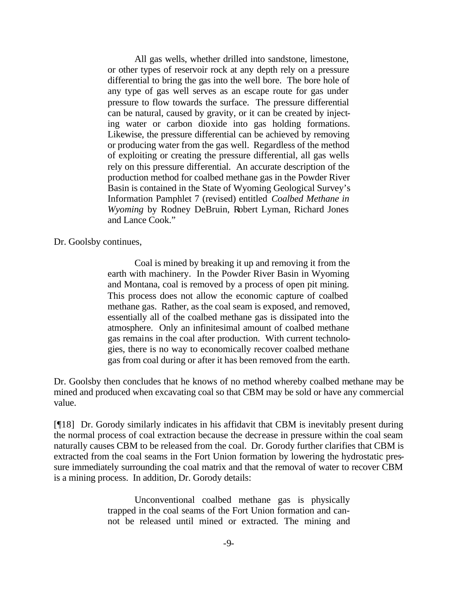All gas wells, whether drilled into sandstone, limestone, or other types of reservoir rock at any depth rely on a pressure differential to bring the gas into the well bore. The bore hole of any type of gas well serves as an escape route for gas under pressure to flow towards the surface. The pressure differential can be natural, caused by gravity, or it can be created by injecting water or carbon dioxide into gas holding formations. Likewise, the pressure differential can be achieved by removing or producing water from the gas well. Regardless of the method of exploiting or creating the pressure differential, all gas wells rely on this pressure differential. An accurate description of the production method for coalbed methane gas in the Powder River Basin is contained in the State of Wyoming Geological Survey's Information Pamphlet 7 (revised) entitled *Coalbed Methane in Wyoming* by Rodney DeBruin, Robert Lyman, Richard Jones and Lance Cook."

Dr. Goolsby continues,

Coal is mined by breaking it up and removing it from the earth with machinery. In the Powder River Basin in Wyoming and Montana, coal is removed by a process of open pit mining. This process does not allow the economic capture of coalbed methane gas. Rather, as the coal seam is exposed, and removed, essentially all of the coalbed methane gas is dissipated into the atmosphere. Only an infinitesimal amount of coalbed methane gas remains in the coal after production. With current technologies, there is no way to economically recover coalbed methane gas from coal during or after it has been removed from the earth.

Dr. Goolsby then concludes that he knows of no method whereby coalbed methane may be mined and produced when excavating coal so that CBM may be sold or have any commercial value.

[¶18] Dr. Gorody similarly indicates in his affidavit that CBM is inevitably present during the normal process of coal extraction because the decrease in pressure within the coal seam naturally causes CBM to be released from the coal. Dr. Gorody further clarifies that CBM is extracted from the coal seams in the Fort Union formation by lowering the hydrostatic pressure immediately surrounding the coal matrix and that the removal of water to recover CBM is a mining process. In addition, Dr. Gorody details:

> Unconventional coalbed methane gas is physically trapped in the coal seams of the Fort Union formation and cannot be released until mined or extracted. The mining and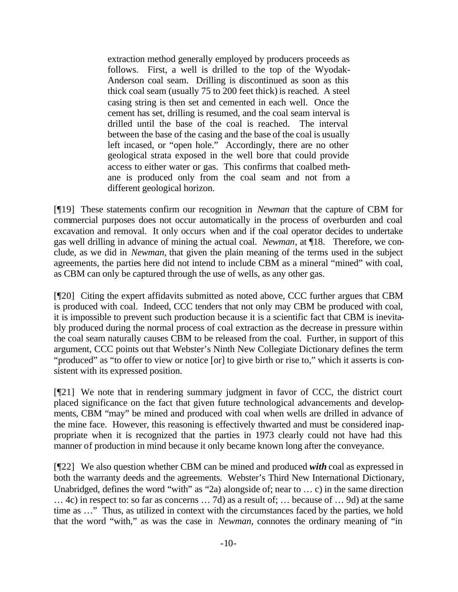extraction method generally employed by producers proceeds as follows. First, a well is drilled to the top of the Wyodak-Anderson coal seam. Drilling is discontinued as soon as this thick coal seam (usually 75 to 200 feet thick) is reached. A steel casing string is then set and cemented in each well. Once the cement has set, drilling is resumed, and the coal seam interval is drilled until the base of the coal is reached. The interval between the base of the casing and the base of the coal is usually left incased, or "open hole." Accordingly, there are no other geological strata exposed in the well bore that could provide access to either water or gas. This confirms that coalbed methane is produced only from the coal seam and not from a different geological horizon.

[¶19] These statements confirm our recognition in *Newman* that the capture of CBM for commercial purposes does not occur automatically in the process of overburden and coal excavation and removal. It only occurs when and if the coal operator decides to undertake gas well drilling in advance of mining the actual coal. *Newman*, at ¶18. Therefore, we conclude, as we did in *Newman,* that given the plain meaning of the terms used in the subject agreements, the parties here did not intend to include CBM as a mineral "mined" with coal, as CBM can only be captured through the use of wells, as any other gas.

[¶20] Citing the expert affidavits submitted as noted above, CCC further argues that CBM is produced with coal. Indeed, CCC tenders that not only may CBM be produced with coal, it is impossible to prevent such production because it is a scientific fact that CBM is inevitably produced during the normal process of coal extraction as the decrease in pressure within the coal seam naturally causes CBM to be released from the coal. Further, in support of this argument, CCC points out that Webster's Ninth New Collegiate Dictionary defines the term "produced" as "to offer to view or notice [or] to give birth or rise to," which it asserts is consistent with its expressed position.

[¶21] We note that in rendering summary judgment in favor of CCC, the district court placed significance on the fact that given future technological advancements and developments, CBM "may" be mined and produced with coal when wells are drilled in advance of the mine face. However, this reasoning is effectively thwarted and must be considered inappropriate when it is recognized that the parties in 1973 clearly could not have had this manner of production in mind because it only became known long after the conveyance.

[¶22] We also question whether CBM can be mined and produced *with* coal as expressed in both the warranty deeds and the agreements. Webster's Third New International Dictionary, Unabridged, defines the word "with" as "2a) alongside of; near to … c) in the same direction … 4c) in respect to: so far as concerns … 7d) as a result of; … because of … 9d) at the same time as …" Thus, as utilized in context with the circumstances faced by the parties, we hold that the word "with," as was the case in *Newman*, connotes the ordinary meaning of "in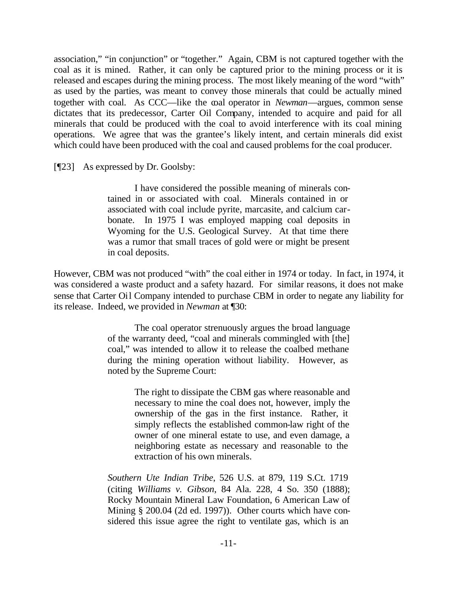association," "in conjunction" or "together." Again, CBM is not captured together with the coal as it is mined. Rather, it can only be captured prior to the mining process or it is released and escapes during the mining process. The most likely meaning of the word "with" as used by the parties, was meant to convey those minerals that could be actually mined together with coal. As CCC—like the coal operator in *Newman*—argues, common sense dictates that its predecessor, Carter Oil Company, intended to acquire and paid for all minerals that could be produced with the coal to avoid interference with its coal mining operations. We agree that was the grantee's likely intent, and certain minerals did exist which could have been produced with the coal and caused problems for the coal producer.

[¶23] As expressed by Dr. Goolsby:

I have considered the possible meaning of minerals contained in or associated with coal. Minerals contained in or associated with coal include pyrite, marcasite, and calcium carbonate. In 1975 I was employed mapping coal deposits in Wyoming for the U.S. Geological Survey. At that time there was a rumor that small traces of gold were or might be present in coal deposits.

However, CBM was not produced "with" the coal either in 1974 or today. In fact, in 1974, it was considered a waste product and a safety hazard. For similar reasons, it does not make sense that Carter Oil Company intended to purchase CBM in order to negate any liability for its release. Indeed, we provided in *Newman* at ¶30:

> The coal operator strenuously argues the broad language of the warranty deed, "coal and minerals commingled with [the] coal," was intended to allow it to release the coalbed methane during the mining operation without liability. However, as noted by the Supreme Court:

> > The right to dissipate the CBM gas where reasonable and necessary to mine the coal does not, however, imply the ownership of the gas in the first instance. Rather, it simply reflects the established common-law right of the owner of one mineral estate to use, and even damage, a neighboring estate as necessary and reasonable to the extraction of his own minerals.

*Southern Ute Indian Tribe*, 526 U.S. at 879, 119 S.Ct. 1719 (citing *Williams v. Gibson*, 84 Ala. 228, 4 So. 350 (1888); Rocky Mountain Mineral Law Foundation, 6 American Law of Mining § 200.04 (2d ed. 1997)). Other courts which have considered this issue agree the right to ventilate gas, which is an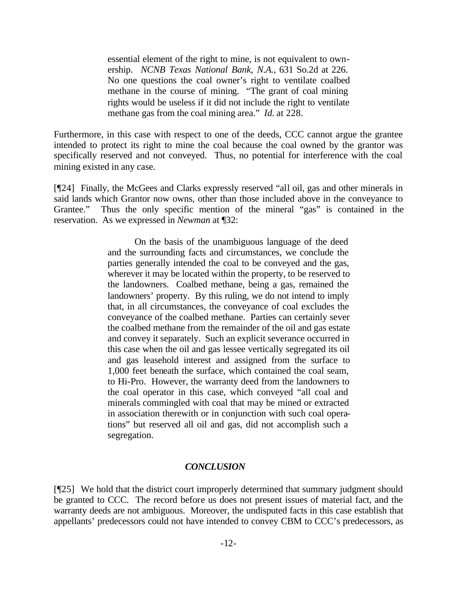essential element of the right to mine, is not equivalent to ownership. *NCNB Texas National Bank, N.A.*, 631 So.2d at 226. No one questions the coal owner's right to ventilate coalbed methane in the course of mining. "The grant of coal mining rights would be useless if it did not include the right to ventilate methane gas from the coal mining area." *Id.* at 228.

Furthermore, in this case with respect to one of the deeds, CCC cannot argue the grantee intended to protect its right to mine the coal because the coal owned by the grantor was specifically reserved and not conveyed. Thus, no potential for interference with the coal mining existed in any case.

[¶24] Finally, the McGees and Clarks expressly reserved "all oil, gas and other minerals in said lands which Grantor now owns, other than those included above in the conveyance to Grantee." Thus the only specific mention of the mineral "gas" is contained in the reservation. As we expressed in *Newman* at ¶32:

> On the basis of the unambiguous language of the deed and the surrounding facts and circumstances, we conclude the parties generally intended the coal to be conveyed and the gas, wherever it may be located within the property, to be reserved to the landowners. Coalbed methane, being a gas, remained the landowners' property. By this ruling, we do not intend to imply that, in all circumstances, the conveyance of coal excludes the conveyance of the coalbed methane. Parties can certainly sever the coalbed methane from the remainder of the oil and gas estate and convey it separately. Such an explicit severance occurred in this case when the oil and gas lessee vertically segregated its oil and gas leasehold interest and assigned from the surface to 1,000 feet beneath the surface, which contained the coal seam, to Hi-Pro. However, the warranty deed from the landowners to the coal operator in this case, which conveyed "all coal and minerals commingled with coal that may be mined or extracted in association therewith or in conjunction with such coal operations" but reserved all oil and gas, did not accomplish such a segregation.

#### *CONCLUSION*

[¶25] We hold that the district court improperly determined that summary judgment should be granted to CCC. The record before us does not present issues of material fact, and the warranty deeds are not ambiguous. Moreover, the undisputed facts in this case establish that appellants' predecessors could not have intended to convey CBM to CCC's predecessors, as